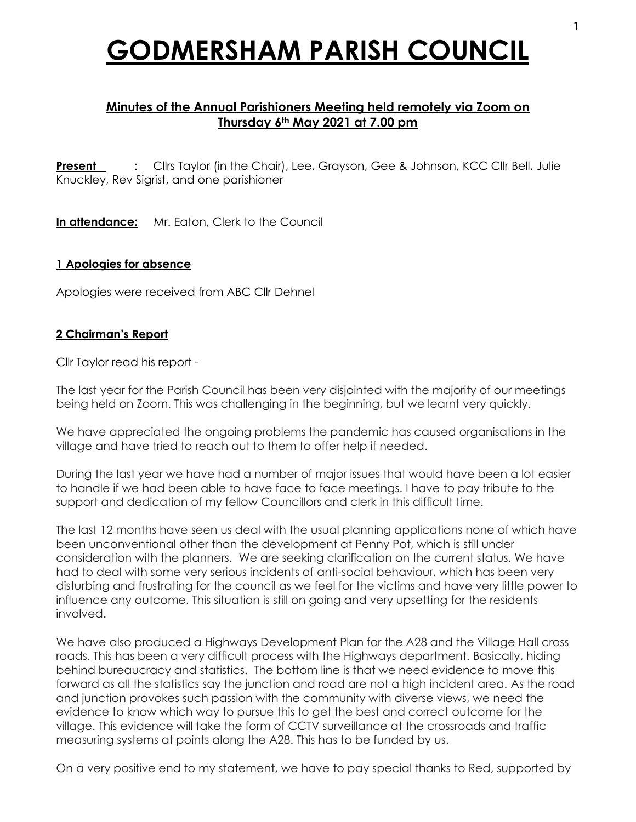# **GODMERSHAM PARISH COUNCIL**

## **Minutes of the Annual Parishioners Meeting held remotely via Zoom on Thursday 6th May 2021 at 7.00 pm**

**Present** : Cllrs Taylor (in the Chair), Lee, Grayson, Gee & Johnson, KCC Cllr Bell, Julie Knuckley, Rev Sigrist, and one parishioner

**In attendance:** Mr. Eaton, Clerk to the Council

#### **1 Apologies for absence**

Apologies were received from ABC Cllr Dehnel

#### **2 Chairman's Report**

Cllr Taylor read his report -

The last year for the Parish Council has been very disjointed with the majority of our meetings being held on Zoom. This was challenging in the beginning, but we learnt very quickly.

We have appreciated the ongoing problems the pandemic has caused organisations in the village and have tried to reach out to them to offer help if needed.

During the last year we have had a number of major issues that would have been a lot easier to handle if we had been able to have face to face meetings. I have to pay tribute to the support and dedication of my fellow Councillors and clerk in this difficult time.

The last 12 months have seen us deal with the usual planning applications none of which have been unconventional other than the development at Penny Pot, which is still under consideration with the planners. We are seeking clarification on the current status. We have had to deal with some very serious incidents of anti-social behaviour, which has been very disturbing and frustrating for the council as we feel for the victims and have very little power to influence any outcome. This situation is still on going and very upsetting for the residents involved.

We have also produced a Highways Development Plan for the A28 and the Village Hall cross roads. This has been a very difficult process with the Highways department. Basically, hiding behind bureaucracy and statistics. The bottom line is that we need evidence to move this forward as all the statistics say the junction and road are not a high incident area. As the road and junction provokes such passion with the community with diverse views, we need the evidence to know which way to pursue this to get the best and correct outcome for the village. This evidence will take the form of CCTV surveillance at the crossroads and traffic measuring systems at points along the A28. This has to be funded by us.

On a very positive end to my statement, we have to pay special thanks to Red, supported by